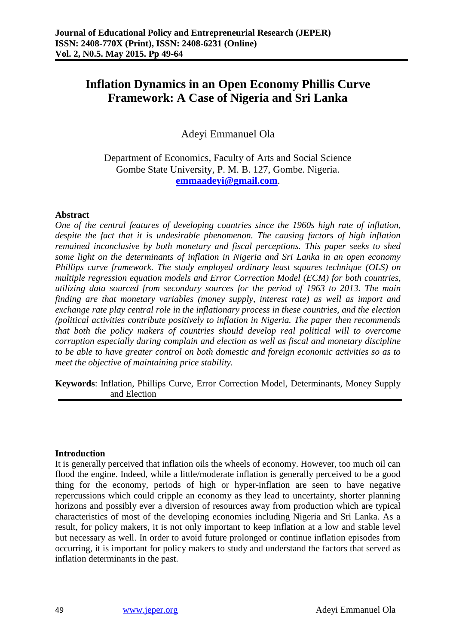# **Inflation Dynamics in an Open Economy Phillis Curve Framework: A Case of Nigeria and Sri Lanka**

Adeyi Emmanuel Ola

Department of Economics, Faculty of Arts and Social Science Gombe State University, P. M. B. 127, Gombe. Nigeria. **[emmaadeyi@gmail.com](mailto:emmaadeyi@gmail.com)**.

### **Abstract**

*One of the central features of developing countries since the 1960s high rate of inflation, despite the fact that it is undesirable phenomenon. The causing factors of high inflation remained inconclusive by both monetary and fiscal perceptions. This paper seeks to shed some light on the determinants of inflation in Nigeria and Sri Lanka in an open economy Phillips curve framework. The study employed ordinary least squares technique (OLS) on multiple regression equation models and Error Correction Model (ECM) for both countries, utilizing data sourced from secondary sources for the period of 1963 to 2013. The main finding are that monetary variables (money supply, interest rate) as well as import and exchange rate play central role in the inflationary process in these countries, and the election (political activities contribute positively to inflation in Nigeria. The paper then recommends that both the policy makers of countries should develop real political will to overcome corruption especially during complain and election as well as fiscal and monetary discipline to be able to have greater control on both domestic and foreign economic activities so as to meet the objective of maintaining price stability.* 

**Keywords**: Inflation, Phillips Curve, Error Correction Model, Determinants, Money Supply and Election

### **Introduction**

It is generally perceived that inflation oils the wheels of economy. However, too much oil can flood the engine. Indeed, while a little/moderate inflation is generally perceived to be a good thing for the economy, periods of high or hyper-inflation are seen to have negative repercussions which could cripple an economy as they lead to uncertainty, shorter planning horizons and possibly ever a diversion of resources away from production which are typical characteristics of most of the developing economies including Nigeria and Sri Lanka. As a result, for policy makers, it is not only important to keep inflation at a low and stable level but necessary as well. In order to avoid future prolonged or continue inflation episodes from occurring, it is important for policy makers to study and understand the factors that served as inflation determinants in the past.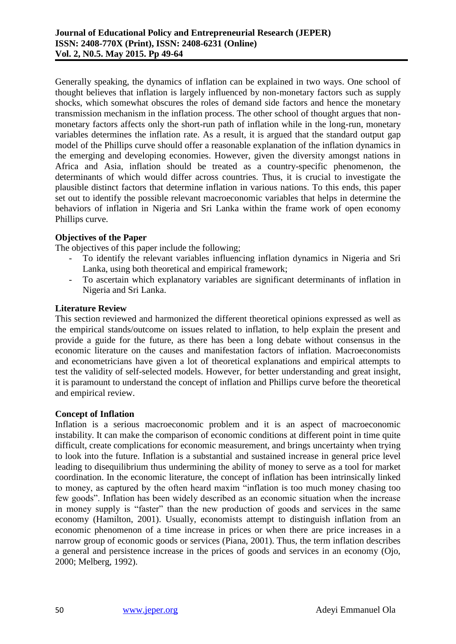Generally speaking, the dynamics of inflation can be explained in two ways. One school of thought believes that inflation is largely influenced by non-monetary factors such as supply shocks, which somewhat obscures the roles of demand side factors and hence the monetary transmission mechanism in the inflation process. The other school of thought argues that nonmonetary factors affects only the short-run path of inflation while in the long-run, monetary variables determines the inflation rate. As a result, it is argued that the standard output gap model of the Phillips curve should offer a reasonable explanation of the inflation dynamics in the emerging and developing economies. However, given the diversity amongst nations in Africa and Asia, inflation should be treated as a country-specific phenomenon, the determinants of which would differ across countries. Thus, it is crucial to investigate the plausible distinct factors that determine inflation in various nations. To this ends, this paper set out to identify the possible relevant macroeconomic variables that helps in determine the behaviors of inflation in Nigeria and Sri Lanka within the frame work of open economy Phillips curve.

# **Objectives of the Paper**

The objectives of this paper include the following;

- To identify the relevant variables influencing inflation dynamics in Nigeria and Sri Lanka, using both theoretical and empirical framework;
- To ascertain which explanatory variables are significant determinants of inflation in Nigeria and Sri Lanka.

## **Literature Review**

This section reviewed and harmonized the different theoretical opinions expressed as well as the empirical stands/outcome on issues related to inflation, to help explain the present and provide a guide for the future, as there has been a long debate without consensus in the economic literature on the causes and manifestation factors of inflation. Macroeconomists and econometricians have given a lot of theoretical explanations and empirical attempts to test the validity of self-selected models. However, for better understanding and great insight, it is paramount to understand the concept of inflation and Phillips curve before the theoretical and empirical review.

### **Concept of Inflation**

Inflation is a serious macroeconomic problem and it is an aspect of macroeconomic instability. It can make the comparison of economic conditions at different point in time quite difficult, create complications for economic measurement, and brings uncertainty when trying to look into the future. Inflation is a substantial and sustained increase in general price level leading to disequilibrium thus undermining the ability of money to serve as a tool for market coordination. In the economic literature, the concept of inflation has been intrinsically linked to money, as captured by the often heard maxim "inflation is too much money chasing too few goods". Inflation has been widely described as an economic situation when the increase in money supply is "faster" than the new production of goods and services in the same economy (Hamilton, 2001). Usually, economists attempt to distinguish inflation from an economic phenomenon of a time increase in prices or when there are price increases in a narrow group of economic goods or services (Piana, 2001). Thus, the term inflation describes a general and persistence increase in the prices of goods and services in an economy (Ojo, 2000; Melberg, 1992).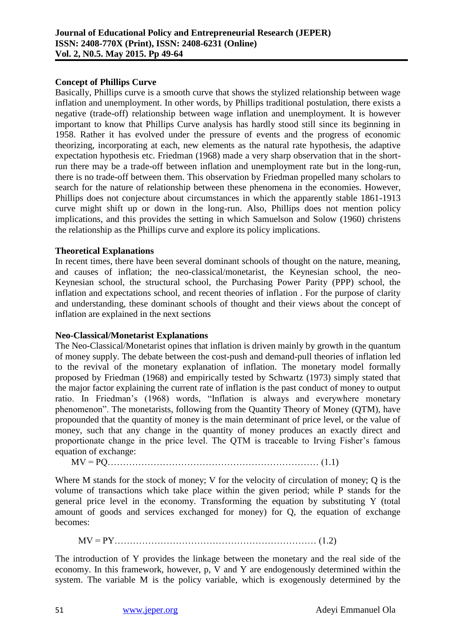## **Concept of Phillips Curve**

Basically, Phillips curve is a smooth curve that shows the stylized relationship between wage inflation and unemployment. In other words, by Phillips traditional postulation, there exists a negative (trade-off) relationship between wage inflation and unemployment. It is however important to know that Phillips Curve analysis has hardly stood still since its beginning in 1958. Rather it has evolved under the pressure of events and the progress of economic theorizing, incorporating at each, new elements as the natural rate hypothesis, the adaptive expectation hypothesis etc. Friedman (1968) made a very sharp observation that in the shortrun there may be a trade-off between inflation and unemployment rate but in the long-run, there is no trade-off between them. This observation by Friedman propelled many scholars to search for the nature of relationship between these phenomena in the economies. However, Phillips does not conjecture about circumstances in which the apparently stable 1861-1913 curve might shift up or down in the long-run. Also, Phillips does not mention policy implications, and this provides the setting in which Samuelson and Solow (1960) christens the relationship as the Phillips curve and explore its policy implications.

## **Theoretical Explanations**

In recent times, there have been several dominant schools of thought on the nature, meaning, and causes of inflation; the neo-classical/monetarist, the Keynesian school, the neo-Keynesian school, the structural school, the Purchasing Power Parity (PPP) school, the inflation and expectations school, and recent theories of inflation . For the purpose of clarity and understanding, these dominant schools of thought and their views about the concept of inflation are explained in the next sections

### **Neo-Classical/Monetarist Explanations**

The Neo-Classical/Monetarist opines that inflation is driven mainly by growth in the quantum of money supply. The debate between the cost-push and demand-pull theories of inflation led to the revival of the monetary explanation of inflation. The monetary model formally proposed by Friedman (1968) and empirically tested by Schwartz (1973) simply stated that the major factor explaining the current rate of inflation is the past conduct of money to output ratio. In Friedman's (1968) words, "Inflation is always and everywhere monetary phenomenon". The monetarists, following from the Quantity Theory of Money (QTM), have propounded that the quantity of money is the main determinant of price level, or the value of money, such that any change in the quantity of money produces an exactly direct and proportionate change in the price level. The QTM is traceable to Irving Fisher's famous equation of exchange:

MV = PQ…………………………………………………………… (1.1)

Where M stands for the stock of money; V for the velocity of circulation of money; Q is the volume of transactions which take place within the given period; while P stands for the general price level in the economy. Transforming the equation by substituting Y (total amount of goods and services exchanged for money) for Q, the equation of exchange becomes:

MV = PY………………………………………………………… (1.2)

The introduction of Y provides the linkage between the monetary and the real side of the economy. In this framework, however, p, V and Y are endogenously determined within the system. The variable M is the policy variable, which is exogenously determined by the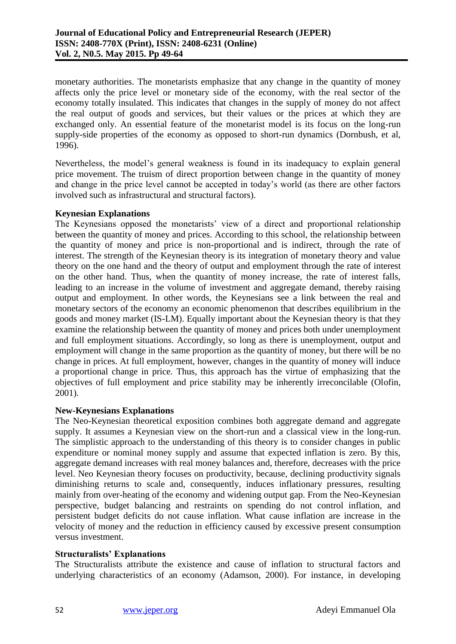monetary authorities. The monetarists emphasize that any change in the quantity of money affects only the price level or monetary side of the economy, with the real sector of the economy totally insulated. This indicates that changes in the supply of money do not affect the real output of goods and services, but their values or the prices at which they are exchanged only. An essential feature of the monetarist model is its focus on the long-run supply-side properties of the economy as opposed to short-run dynamics (Dornbush, et al, 1996).

Nevertheless, the model's general weakness is found in its inadequacy to explain general price movement. The truism of direct proportion between change in the quantity of money and change in the price level cannot be accepted in today's world (as there are other factors involved such as infrastructural and structural factors).

## **Keynesian Explanations**

The Keynesians opposed the monetarists' view of a direct and proportional relationship between the quantity of money and prices. According to this school, the relationship between the quantity of money and price is non-proportional and is indirect, through the rate of interest. The strength of the Keynesian theory is its integration of monetary theory and value theory on the one hand and the theory of output and employment through the rate of interest on the other hand. Thus, when the quantity of money increase, the rate of interest falls, leading to an increase in the volume of investment and aggregate demand, thereby raising output and employment. In other words, the Keynesians see a link between the real and monetary sectors of the economy an economic phenomenon that describes equilibrium in the goods and money market (IS-LM). Equally important about the Keynesian theory is that they examine the relationship between the quantity of money and prices both under unemployment and full employment situations. Accordingly, so long as there is unemployment, output and employment will change in the same proportion as the quantity of money, but there will be no change in prices. At full employment, however, changes in the quantity of money will induce a proportional change in price. Thus, this approach has the virtue of emphasizing that the objectives of full employment and price stability may be inherently irreconcilable (Olofin, 2001).

### **New-Keynesians Explanations**

The Neo-Keynesian theoretical exposition combines both aggregate demand and aggregate supply. It assumes a Keynesian view on the short-run and a classical view in the long-run. The simplistic approach to the understanding of this theory is to consider changes in public expenditure or nominal money supply and assume that expected inflation is zero. By this, aggregate demand increases with real money balances and, therefore, decreases with the price level. Neo Keynesian theory focuses on productivity, because, declining productivity signals diminishing returns to scale and, consequently, induces inflationary pressures, resulting mainly from over-heating of the economy and widening output gap. From the Neo-Keynesian perspective, budget balancing and restraints on spending do not control inflation, and persistent budget deficits do not cause inflation. What cause inflation are increase in the velocity of money and the reduction in efficiency caused by excessive present consumption versus investment.

### **Structuralists' Explanations**

The Structuralists attribute the existence and cause of inflation to structural factors and underlying characteristics of an economy (Adamson, 2000). For instance, in developing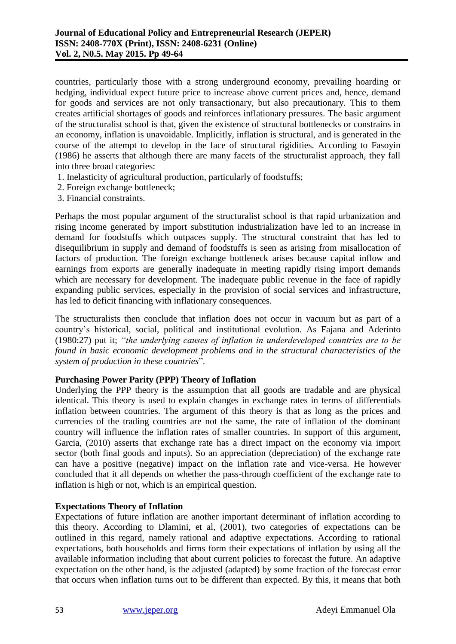countries, particularly those with a strong underground economy, prevailing hoarding or hedging, individual expect future price to increase above current prices and, hence, demand for goods and services are not only transactionary, but also precautionary. This to them creates artificial shortages of goods and reinforces inflationary pressures. The basic argument of the structuralist school is that, given the existence of structural bottlenecks or constrains in an economy, inflation is unavoidable. Implicitly, inflation is structural, and is generated in the course of the attempt to develop in the face of structural rigidities. According to Fasoyin (1986) he asserts that although there are many facets of the structuralist approach, they fall into three broad categories:

- 1. Inelasticity of agricultural production, particularly of foodstuffs;
- 2. Foreign exchange bottleneck;
- 3. Financial constraints.

Perhaps the most popular argument of the structuralist school is that rapid urbanization and rising income generated by import substitution industrialization have led to an increase in demand for foodstuffs which outpaces supply. The structural constraint that has led to disequilibrium in supply and demand of foodstuffs is seen as arising from misallocation of factors of production. The foreign exchange bottleneck arises because capital inflow and earnings from exports are generally inadequate in meeting rapidly rising import demands which are necessary for development. The inadequate public revenue in the face of rapidly expanding public services, especially in the provision of social services and infrastructure, has led to deficit financing with inflationary consequences.

The structuralists then conclude that inflation does not occur in vacuum but as part of a country's historical, social, political and institutional evolution. As Fajana and Aderinto (1980:27) put it; *"the underlying causes of inflation in underdeveloped countries are to be found in basic economic development problems and in the structural characteristics of the system of production in these countries*".

# **Purchasing Power Parity (PPP) Theory of Inflation**

Underlying the PPP theory is the assumption that all goods are tradable and are physical identical. This theory is used to explain changes in exchange rates in terms of differentials inflation between countries. The argument of this theory is that as long as the prices and currencies of the trading countries are not the same, the rate of inflation of the dominant country will influence the inflation rates of smaller countries. In support of this argument, Garcia, (2010) asserts that exchange rate has a direct impact on the economy via import sector (both final goods and inputs). So an appreciation (depreciation) of the exchange rate can have a positive (negative) impact on the inflation rate and vice-versa. He however concluded that it all depends on whether the pass-through coefficient of the exchange rate to inflation is high or not, which is an empirical question.

### **Expectations Theory of Inflation**

Expectations of future inflation are another important determinant of inflation according to this theory. According to Dlamini, et al, (2001), two categories of expectations can be outlined in this regard, namely rational and adaptive expectations. According to rational expectations, both households and firms form their expectations of inflation by using all the available information including that about current policies to forecast the future. An adaptive expectation on the other hand, is the adjusted (adapted) by some fraction of the forecast error that occurs when inflation turns out to be different than expected. By this, it means that both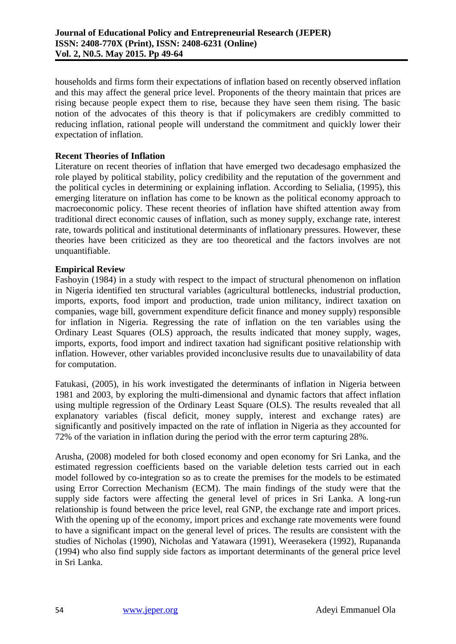households and firms form their expectations of inflation based on recently observed inflation and this may affect the general price level. Proponents of the theory maintain that prices are rising because people expect them to rise, because they have seen them rising. The basic notion of the advocates of this theory is that if policymakers are credibly committed to reducing inflation, rational people will understand the commitment and quickly lower their expectation of inflation.

## **Recent Theories of Inflation**

Literature on recent theories of inflation that have emerged two decadesago emphasized the role played by political stability, policy credibility and the reputation of the government and the political cycles in determining or explaining inflation. According to Selialia, (1995), this emerging literature on inflation has come to be known as the political economy approach to macroeconomic policy. These recent theories of inflation have shifted attention away from traditional direct economic causes of inflation, such as money supply, exchange rate, interest rate, towards political and institutional determinants of inflationary pressures. However, these theories have been criticized as they are too theoretical and the factors involves are not unquantifiable.

## **Empirical Review**

Fashoyin (1984) in a study with respect to the impact of structural phenomenon on inflation in Nigeria identified ten structural variables (agricultural bottlenecks, industrial production, imports, exports, food import and production, trade union militancy, indirect taxation on companies, wage bill, government expenditure deficit finance and money supply) responsible for inflation in Nigeria. Regressing the rate of inflation on the ten variables using the Ordinary Least Squares (OLS) approach, the results indicated that money supply, wages, imports, exports, food import and indirect taxation had significant positive relationship with inflation. However, other variables provided inconclusive results due to unavailability of data for computation.

Fatukasi, (2005), in his work investigated the determinants of inflation in Nigeria between 1981 and 2003, by exploring the multi-dimensional and dynamic factors that affect inflation using multiple regression of the Ordinary Least Square (OLS). The results revealed that all explanatory variables (fiscal deficit, money supply, interest and exchange rates) are significantly and positively impacted on the rate of inflation in Nigeria as they accounted for 72% of the variation in inflation during the period with the error term capturing 28%.

Arusha, (2008) modeled for both closed economy and open economy for Sri Lanka, and the estimated regression coefficients based on the variable deletion tests carried out in each model followed by co-integration so as to create the premises for the models to be estimated using Error Correction Mechanism (ECM). The main findings of the study were that the supply side factors were affecting the general level of prices in Sri Lanka. A long-run relationship is found between the price level, real GNP, the exchange rate and import prices. With the opening up of the economy, import prices and exchange rate movements were found to have a significant impact on the general level of prices. The results are consistent with the studies of Nicholas (1990), Nicholas and Yatawara (1991), Weerasekera (1992), Rupananda (1994) who also find supply side factors as important determinants of the general price level in Sri Lanka.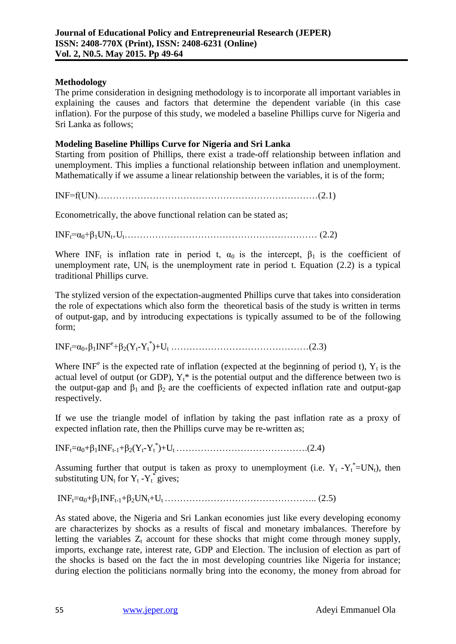## **Methodology**

The prime consideration in designing methodology is to incorporate all important variables in explaining the causes and factors that determine the dependent variable (in this case inflation). For the purpose of this study, we modeled a baseline Phillips curve for Nigeria and Sri Lanka as follows;

## **Modeling Baseline Phillips Curve for Nigeria and Sri Lanka**

Starting from position of Phillips, there exist a trade-off relationship between inflation and unemployment. This implies a functional relationship between inflation and unemployment. Mathematically if we assume a linear relationship between the variables, it is of the form;

INF=f(UN)………………………………………………………………(2.1)

Econometrically, the above functional relation can be stated as;

INFt=α0+β1UNt+Ut……………………………………………………… (2.2)

Where INF<sub>t</sub> is inflation rate in period t,  $\alpha_0$  is the intercept,  $\beta_1$  is the coefficient of unemployment rate. UN<sub>t</sub> is the unemployment rate in period t. Equation (2.2) is a typical traditional Phillips curve.

The stylized version of the expectation-augmented Phillips curve that takes into consideration the role of expectations which also form the theoretical basis of the study is written in terms of output-gap, and by introducing expectations is typically assumed to be of the following form;

INFt=α0+β1INF<sup>e</sup> +β2(Yt-Y<sup>t</sup> \* )+U<sup>t</sup> ………………………………………(2.3)

Where INF<sup>e</sup> is the expected rate of inflation (expected at the beginning of period t),  $Y_t$  is the actual level of output (or GDP),  $Y_t^*$  is the potential output and the difference between two is the output-gap and  $\beta_1$  and  $\beta_2$  are the coefficients of expected inflation rate and output-gap respectively.

If we use the triangle model of inflation by taking the past inflation rate as a proxy of expected inflation rate, then the Phillips curve may be re-written as;

INFt=α0+β1INFt-1+β2(Yt-Y<sup>t</sup> \* )+Ut …………………………………….(2.4)

Assuming further that output is taken as proxy to unemployment (i.e.  $Y_t - Y_t^* = UN_t$ ), then substituting  $UN_t$  for  $Y_t - Y_t^*$  gives;

INFt=α0+β1INFt-1+β2UNt+Ut ………………………………………….. (2.5)

As stated above, the Nigeria and Sri Lankan economies just like every developing economy are characterizes by shocks as a results of fiscal and monetary imbalances. Therefore by letting the variables  $Z_t$  account for these shocks that might come through money supply, imports, exchange rate, interest rate, GDP and Election. The inclusion of election as part of the shocks is based on the fact the in most developing countries like Nigeria for instance; during election the politicians normally bring into the economy, the money from abroad for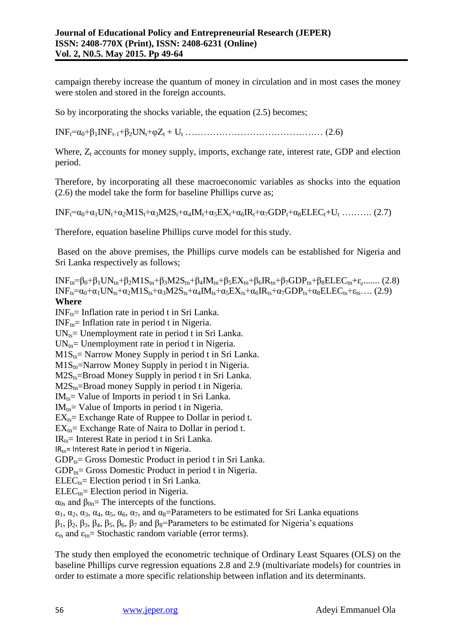campaign thereby increase the quantum of money in circulation and in most cases the money were stolen and stored in the foreign accounts.

So by incorporating the shocks variable, the equation (2.5) becomes;

INFt=α0+β1INFt-1+β2UNt+φZ<sup>t</sup> + U<sup>t</sup> ……………………………………… (2.6)

Where,  $Z_t$  accounts for money supply, imports, exchange rate, interest rate, GDP and election period.

Therefore, by incorporating all these macroeconomic variables as shocks into the equation (2.6) the model take the form for baseline Phillips curve as;

 $INF_t=\alpha_0+\alpha_1UN_t+\alpha_2M1S_t+\alpha_3M2S_t+\alpha_4IM_t+\alpha_5EX_t+\alpha_6IR_t+\alpha_7GDP_t+\alpha_8ELEC_t+U_t$  ………. (2.7)

Therefore, equation baseline Phillips curve model for this study.

Based on the above premises, the Phillips curve models can be established for Nigeria and Sri Lanka respectively as follows;

 $INF_{tn} = \beta_0 + \beta_1 UN_{tn} + \beta_2 M 1 S_{tn} + \beta_3 M 2 S_{tn} + \beta_4 IM_{tn} + \beta_5 EX_{tn} + \beta_6 IR_{tn} + \beta_7 GDP_{tn} + \beta_8 E LEC_{tn} + \epsilon$ ........ (2.8)  $INF_{ts}=\alpha_0+\alpha_1UN_{ts}+\alpha_2M1S_{ts}+\alpha_3M2S_{ts}+\alpha_4IM_{ts}+\alpha_5EX_{ts}+\alpha_6IR_{ts}+\alpha_7GDP_{ts}+\alpha_8ELEC_{ts}+\varepsilon_{ts}....$  (2.9) **Where**

 $INF<sub>ts</sub>$ = Inflation rate in period t in Sri Lanka.

 $INF_{tn}$ = Inflation rate in period t in Nigeria.

 $UN_{ts}$  Unemployment rate in period t in Sri Lanka.

 $UN_{tn}$ = Unemployment rate in period t in Nigeria.

 $M1S_{ts}$ = Narrow Money Supply in period t in Sri Lanka.

 $M1S_{\text{tn}}$ =Narrow Money Supply in period t in Nigeria.

 $M2S_{ts}$ =Broad Money Supply in period t in Sri Lanka.

 $M2S_{tn}$ =Broad money Supply in period t in Nigeria.

 $IM_{ts}$  Value of Imports in period t in Sri Lanka.

 $IM_{tn}$  Value of Imports in period t in Nigeria.

 $EX_{ts}$ = Exchange Rate of Ruppee to Dollar in period t.

 $EX_{\text{tn}}=$  Exchange Rate of Naira to Dollar in period t.

 $IR<sub>ts</sub>=$  Interest Rate in period t in Sri Lanka.

 $IR<sub>tn</sub>$ = Interest Rate in period t in Nigeria.

 $GDP_{ts}$ = Gross Domestic Product in period t in Sri Lanka.

 $GDP_{tn}$ = Gross Domestic Product in period t in Nigeria.

 $ELEC_{ts}$ = Election period t in Sri Lanka.

 $ELEC<sub>tn</sub>$ = Election period in Nigeria.

 $\alpha_{0s}$  and  $\beta_{0n}$ = The intercepts of the functions.

 $\alpha_1, \alpha_2, \alpha_3, \alpha_4, \alpha_5, \alpha_6, \alpha_7$ , and  $\alpha_8$ =Parameters to be estimated for Sri Lanka equations

 $β_1$ ,  $β_2$ ,  $β_3$ ,  $β_4$ ,  $β_5$ ,  $β_6$ ,  $β_7$  and  $β_8$ =Parameters to be estimated for Nigeria's equations

 $\varepsilon_{ts}$  and  $\varepsilon_{tn}$  = Stochastic random variable (error terms).

The study then employed the econometric technique of Ordinary Least Squares (OLS) on the baseline Phillips curve regression equations 2.8 and 2.9 (multivariate models) for countries in order to estimate a more specific relationship between inflation and its determinants.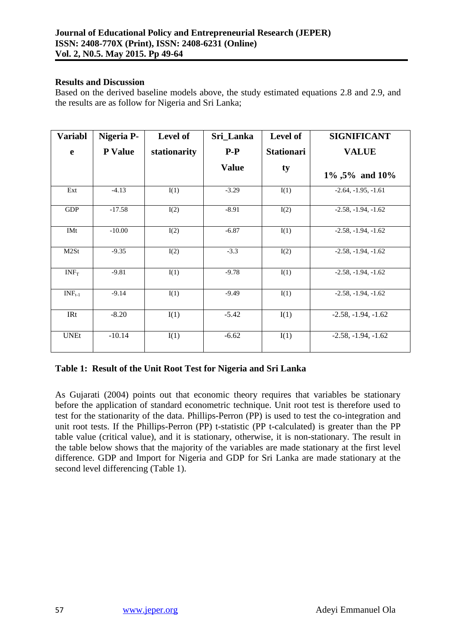#### **Results and Discussion**

Based on the derived baseline models above, the study estimated equations 2.8 and 2.9, and the results are as follow for Nigeria and Sri Lanka;

| <b>Variabl</b> | Nigeria P-     | Level of     | Sri_Lanka    | Level of          | <b>SIGNIFICANT</b>    |
|----------------|----------------|--------------|--------------|-------------------|-----------------------|
| e              | <b>P</b> Value | stationarity | $P-P$        | <b>Stationari</b> | <b>VALUE</b>          |
|                |                |              | <b>Value</b> | ty                | 1%, 5% and 10%        |
| Ext            | $-4.13$        | I(1)         | $-3.29$      | I(1)              | $-2.64, -1.95, -1.61$ |
| <b>GDP</b>     | $-17.58$       | I(2)         | $-8.91$      | I(2)              | $-2.58, -1.94, -1.62$ |
| <b>IMt</b>     | $-10.00$       | I(2)         | $-6.87$      | I(1)              | $-2.58, -1.94, -1.62$ |
| M2St           | $-9.35$        | I(2)         | $-3.3$       | I(2)              | $-2.58, -1.94, -1.62$ |
| $INF_T$        | $-9.81$        | I(1)         | $-9.78$      | I(1)              | $-2.58, -1.94, -1.62$ |
| $INF_{t-1}$    | $-9.14$        | I(1)         | $-9.49$      | I(1)              | $-2.58, -1.94, -1.62$ |
| <b>IRt</b>     | $-8.20$        | I(1)         | $-5.42$      | I(1)              | $-2.58, -1.94, -1.62$ |
| <b>UNEt</b>    | $-10.14$       | I(1)         | $-6.62$      | I(1)              | $-2.58, -1.94, -1.62$ |

# **Table 1: Result of the Unit Root Test for Nigeria and Sri Lanka**

As Gujarati (2004) points out that economic theory requires that variables be stationary before the application of standard econometric technique. Unit root test is therefore used to test for the stationarity of the data. Phillips-Perron (PP) is used to test the co-integration and unit root tests. If the Phillips-Perron (PP) t-statistic (PP t-calculated) is greater than the PP table value (critical value), and it is stationary, otherwise, it is non-stationary. The result in the table below shows that the majority of the variables are made stationary at the first level difference. GDP and Import for Nigeria and GDP for Sri Lanka are made stationary at the second level differencing (Table 1).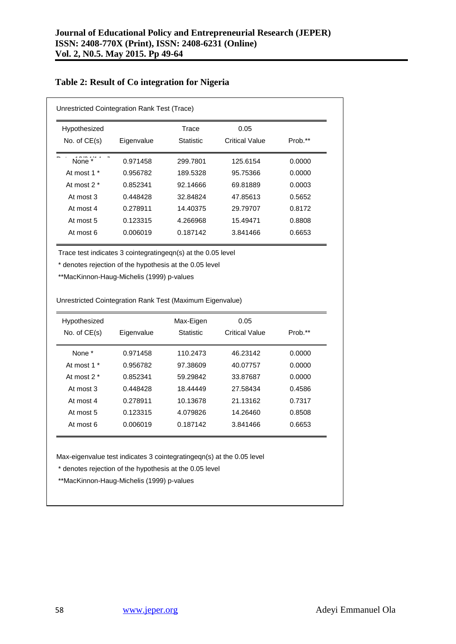| Unrestricted Cointegration Rank Test (Trace) |            |                  |                |         |  |
|----------------------------------------------|------------|------------------|----------------|---------|--|
| Hypothesized                                 |            | Trace            | 0.05           |         |  |
| No. of $CE(s)$                               | Eigenvalue | <b>Statistic</b> | Critical Value | Prob.** |  |
| None *                                       | 0.971458   | 299.7801         | 125.6154       | 0.0000  |  |
| At most 1 *                                  | 0.956782   | 189.5328         | 95.75366       | 0.0000  |  |
| At most $2^*$                                | 0.852341   | 92.14666         | 69.81889       | 0.0003  |  |
| At most 3                                    | 0.448428   | 32.84824         | 47.85613       | 0.5652  |  |
| At most 4                                    | 0.278911   | 14.40375         | 29.79707       | 0.8172  |  |
| At most 5                                    | 0.123315   | 4.266968         | 15.49471       | 0.8808  |  |
| At most 6                                    | 0.006019   | 0.187142         | 3.841466       | 0.6653  |  |

## **Table 2: Result of Co integration for Nigeria**

Trace test indicates 3 cointegratingeqn(s) at the 0.05 level

\* denotes rejection of the hypothesis at the 0.05 level

\*\*MacKinnon-Haug-Michelis (1999) p-values

Unrestricted Cointegration Rank Test (Maximum Eigenvalue)  $\mathcal{A} = \mathcal{A} \cup \mathcal{A}$ 

| Hypothesized   |            | Max-Eigen | 0.05           |         |
|----------------|------------|-----------|----------------|---------|
| No. of $CE(s)$ | Eigenvalue | Statistic | Critical Value | Prob.** |
| None *         | 0.971458   | 110.2473  | 46.23142       | 0.0000  |
| At most 1 *    | 0.956782   | 97.38609  | 40.07757       | 0.0000  |
| At most $2^*$  | 0.852341   | 59.29842  | 33.87687       | 0.0000  |
| At most 3      | 0.448428   | 18.44449  | 27.58434       | 0.4586  |
| At most 4      | 0.278911   | 10.13678  | 21.13162       | 0.7317  |
| At most 5      | 0.123315   | 4.079826  | 14.26460       | 0.8508  |
| At most 6      | 0.006019   | 0.187142  | 3.841466       | 0.6653  |

Max-eigenvalue test indicates 3 cointegratingeqn(s) at the 0.05 level

\* denotes rejection of the hypothesis at the 0.05 level

None  $\mathcal{L}$  198.30219 98.30219 98.30219 98.30219 98.30219 98.30219 98.30219 98.30219 98.30219 98.30219 98.30 \*\*MacKinnon-Haug-Michelis (1999) p-values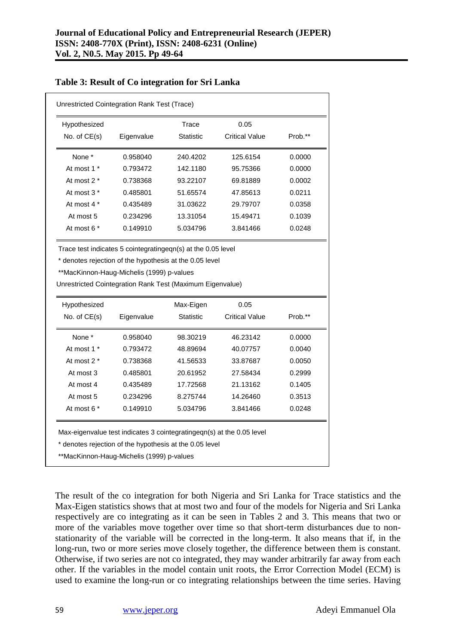| Unrestricted Cointegration Rank Test (Trace)                                                                                     |                      |                  |                       |         |  |  |  |
|----------------------------------------------------------------------------------------------------------------------------------|----------------------|------------------|-----------------------|---------|--|--|--|
| Hypothesized                                                                                                                     | <b>Trace</b><br>0.05 |                  |                       |         |  |  |  |
| No. of $CE(s)$                                                                                                                   | Eigenvalue           | Statistic        | <b>Critical Value</b> | Prob.** |  |  |  |
| None *                                                                                                                           | 0.958040             | 240.4202         | 125.6154              | 0.0000  |  |  |  |
| At most 1 *                                                                                                                      | 0.793472             | 142.1180         | 95.75366              | 0.0000  |  |  |  |
| At most 2 *                                                                                                                      | 0.738368             | 93.22107         | 69.81889              | 0.0002  |  |  |  |
| At most 3 *                                                                                                                      | 0.485801             | 51.65574         | 47.85613              | 0.0211  |  |  |  |
| At most 4 *                                                                                                                      | 0.435489             | 31.03622         | 29.79707              | 0.0358  |  |  |  |
| At most 5                                                                                                                        | 0.234296             | 13.31054         | 15.49471              | 0.1039  |  |  |  |
| At most 6 *                                                                                                                      | 0.149910             | 5.034796         | 3.841466              | 0.0248  |  |  |  |
| Hypothesized                                                                                                                     |                      | Max-Eigen        | 0.05                  |         |  |  |  |
| No. of CE(s)                                                                                                                     | Eigenvalue           | <b>Statistic</b> | <b>Critical Value</b> | Prob.** |  |  |  |
| None *                                                                                                                           | 0.958040             | 98.30219         | 46.23142              | 0.0000  |  |  |  |
| At most 1 *                                                                                                                      | 0.793472             | 48.89694         | 40.07757              | 0.0040  |  |  |  |
| At most 2 *                                                                                                                      | 0.738368             | 41.56533         | 33.87687              | 0.0050  |  |  |  |
| At most 3                                                                                                                        | 0.485801             | 20.61952         | 27.58434              | 0.2999  |  |  |  |
| At most 4                                                                                                                        | 0.435489             | 17.72568         | 21.13162              | 0.1405  |  |  |  |
| At most 5                                                                                                                        | 0.234296             | 8.275744         | 14.26460              | 0.3513  |  |  |  |
| At most 6 *                                                                                                                      | 0.149910             | 5.034796         | 3.841466              | 0.0248  |  |  |  |
| Max-eigenvalue test indicates 3 cointegratingeqn(s) at the 0.05 level<br>* denotes rejection of the hypothesis at the 0.05 level |                      |                  |                       |         |  |  |  |

### **Table 3: Result of Co integration for Sri Lanka**

\* denotes rejection of the hypothesis at the 0.05 level

\*\*MacKinnon-Haug-Michelis (1999) p-values

The result of the co integration for both Nigeria and Sri Lanka for Trace statistics and the Max-Eigen statistics shows that at most two and four of the models for Nigeria and Sri Lanka respectively are co integrating as it can be seen in Tables 2 and 3. This means that two or more of the variables move together over time so that short-term disturbances due to nonstationarity of the variable will be corrected in the long-term. It also means that if, in the long-run, two or more series move closely together, the difference between them is constant. Otherwise, if two series are not co integrated, they may wander arbitrarily far away from each other. If the variables in the model contain unit roots, the Error Correction Model (ECM) is used to examine the long-run or co integrating relationships between the time series. Having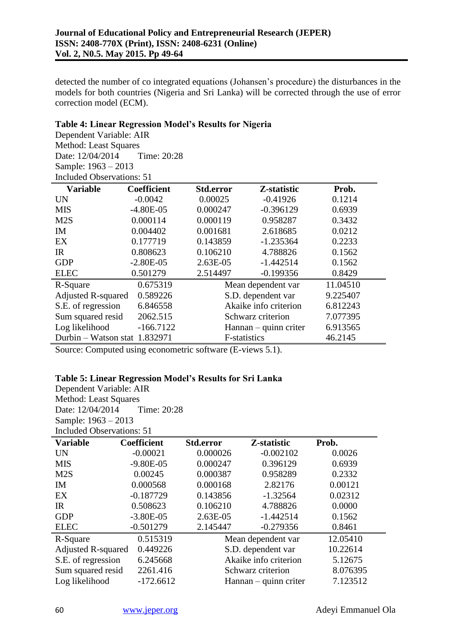detected the number of co integrated equations (Johansen's procedure) the disturbances in the models for both countries (Nigeria and Sri Lanka) will be corrected through the use of error correction model (ECM).

## **Table 4: Linear Regression Model's Results for Nigeria**

Dependent Variable: AIR Method: Least Squares Date: 12/04/2014 Time: 20:28 Sample: 1963 – 2013 Included Observations: 51

| <b>Variable</b>               | <b>Coefficient</b> | <b>Std.error</b>      | Z-statistic           | Prob.    |
|-------------------------------|--------------------|-----------------------|-----------------------|----------|
| UN                            | $-0.0042$          | 0.00025               | $-0.41926$            | 0.1214   |
| <b>MIS</b>                    | $-4.80E-05$        | 0.000247              | $-0.396129$           | 0.6939   |
| M2S                           | 0.000114           | 0.000119              | 0.958287              | 0.3432   |
| <b>IM</b>                     | 0.004402           | 0.001681              | 2.618685              | 0.0212   |
| EX                            | 0.177719           | 0.143859              | $-1.235364$           | 0.2233   |
| <b>IR</b>                     | 0.808623           | 0.106210              | 4.788826              | 0.1562   |
| <b>GDP</b>                    | $-2.80E-05$        | $2.63E-05$            | $-1.442514$           | 0.1562   |
| <b>ELEC</b>                   | 0.501279           | 2.514497              | $-0.199356$           | 0.8429   |
| R-Square                      | 0.675319           |                       | Mean dependent var    | 11.04510 |
| <b>Adjusted R-squared</b>     | 0.589226           |                       | S.D. dependent var    | 9.225407 |
| S.E. of regression            | 6.846558           |                       | Akaike info criterion | 6.812243 |
| Sum squared resid             | 2062.515           | Schwarz criterion     | 7.077395              |          |
| Log likelihood                | $-166.7122$        | Hannan – quinn criter | 6.913565              |          |
| Durbin – Watson stat 1.832971 |                    | F-statistics          |                       | 46.2145  |

Source: Computed using econometric software (E-views 5.1).

### **Table 5: Linear Regression Model's Results for Sri Lanka**

Dependent Variable: AIR Method: Least Squares Date: 12/04/2014 Time: 20:28 Sample: 1963 – 2013 Included Observations: 51

| <b>Variable</b>    | <b>Coefficient</b> | Std.error             | Z-statistic           | Prob.    |
|--------------------|--------------------|-----------------------|-----------------------|----------|
| UN                 | $-0.00021$         | 0.000026              | $-0.002102$           | 0.0026   |
| <b>MIS</b>         | $-9.80E - 05$      | 0.000247              | 0.396129              | 0.6939   |
| M2S                | 0.00245            | 0.000387              | 0.958289              | 0.2332   |
| IM                 | 0.000568           | 0.000168              | 2.82176               | 0.00121  |
| EX                 | $-0.187729$        | 0.143856              | $-1.32564$            | 0.02312  |
| IR                 | 0.508623           | 0.106210              | 4.788826              | 0.0000   |
| <b>GDP</b>         | $-3.80E-05$        | 2.63E-05              | $-1.442514$           | 0.1562   |
| <b>ELEC</b>        | $-0.501279$        | 2.145447              | $-0.279356$           | 0.8461   |
| R-Square           | 0.515319           |                       | Mean dependent var    | 12.05410 |
| Adjusted R-squared | 0.449226           |                       | S.D. dependent var    |          |
| S.E. of regression | 6.245668           | Akaike info criterion |                       | 5.12675  |
| Sum squared resid  | 2261.416           | Schwarz criterion     |                       | 8.076395 |
| Log likelihood     | $-172.6612$        |                       | Hannan – quinn criter |          |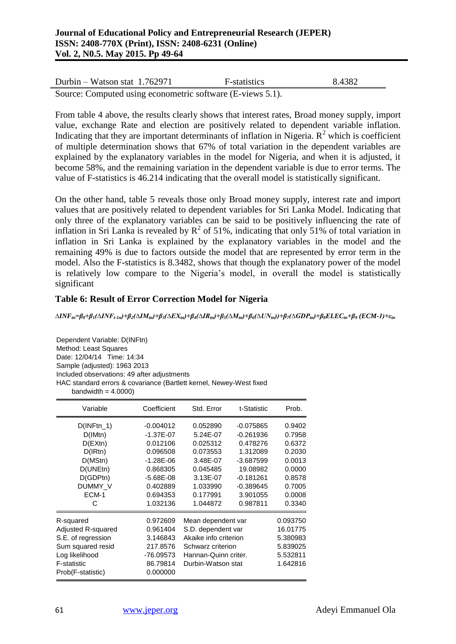| Durbin – Watson stat $1.762971$                            | <b>F</b> -statistics | 8.4382 |
|------------------------------------------------------------|----------------------|--------|
| Source: Computed using econometric software (E-views 5.1). |                      |        |

From table 4 above, the results clearly shows that interest rates, Broad money supply, import value, exchange Rate and election are positively related to dependent variable inflation. Indicating that they are important determinants of inflation in Nigeria.  $R^2$  which is coefficient of multiple determination shows that 67% of total variation in the dependent variables are explained by the explanatory variables in the model for Nigeria, and when it is adjusted, it become 58%, and the remaining variation in the dependent variable is due to error terms. The value of F-statistics is 46.214 indicating that the overall model is statistically significant.

On the other hand, table 5 reveals those only Broad money supply, interest rate and import values that are positively related to dependent variables for Sri Lanka Model. Indicating that only three of the explanatory variables can be said to be positively influencing the rate of inflation in Sri Lanka is revealed by  $R^2$  of 51%, indicating that only 51% of total variation in inflation in Sri Lanka is explained by the explanatory variables in the model and the remaining 49% is due to factors outside the model that are represented by error term in the model. Also the F-statistics is 8.3482, shows that though the explanatory power of the model is relatively low compare to the Nigeria's model, in overall the model is statistically significant

## **Table 6: Result of Error Correction Model for Nigeria**

 $\Delta INF_{in}=\!\beta_0+\beta_1(\Delta INF_{t\text{-}1n})+\beta_2(\Delta IM_{in})+\beta_3(\Delta EX_{in})+\beta_4(\Delta IR_{in})+\beta_5(\Delta M_{in})+\beta_6(\Delta UN_{in}))+\beta_7(\Delta GDP_{in})+\beta_8ELEC_{in}+\beta_9\ (ECM\text{-}1)+\varepsilon_{in}$ 

Dependent Variable: D(INFtn) Method: Least Squares Date: 12/04/14 Time: 14:34 Sample (adjusted): 1963 2013 Included observations: 49 after adjustments HAC standard errors & covariance (Bartlett kernel, Newey-West fixed bandwidth  $= 4.0000$ )

| Variable                                                                                                                                | Coefficient                                                                                                                      | Std. Error                                                                                                                           | t-Statistic                                                                                                                         | Prob.                                                                                            |
|-----------------------------------------------------------------------------------------------------------------------------------------|----------------------------------------------------------------------------------------------------------------------------------|--------------------------------------------------------------------------------------------------------------------------------------|-------------------------------------------------------------------------------------------------------------------------------------|--------------------------------------------------------------------------------------------------|
| $D(INFtn_1)$<br>D(IMtn)<br>$D$ (EXtn)<br>D(IRtn)<br>D(MStn)<br>D(UNEtn)<br>D(GDPtn)<br>DUMMY_V<br>ECM-1<br>C                            | -0.004012<br>$-1.37E-07$<br>0.012106<br>0.096508<br>$-1.28E - 06$<br>0.868305<br>$-5.68E-08$<br>0.402889<br>0.694353<br>1.032136 | 0.052890<br>5.24E-07<br>0.025312<br>0.073553<br>3.48E-07<br>0.045485<br>3.13E-07<br>1.033990<br>0.177991<br>1.044872                 | $-0.075865$<br>$-0.261936$<br>0.478276<br>1.312089<br>$-3.687599$<br>19.08982<br>$-0.181261$<br>$-0.389645$<br>3.901055<br>0.987811 | 0.9402<br>0.7958<br>0.6372<br>0.2030<br>0.0013<br>0.0000<br>0.8578<br>0.7005<br>0.0008<br>0.3340 |
| R-squared<br>Adjusted R-squared<br>S.E. of regression<br>Sum squared resid<br>Log likelihood<br><b>F-statistic</b><br>Prob(F-statistic) | 0.972609<br>0.961404<br>3.146843<br>217.8576<br>-76.09573<br>86.79814<br>0.000000                                                | Mean dependent var<br>S.D. dependent var<br>Akaike info criterion<br>Schwarz criterion<br>Hannan-Quinn criter.<br>Durbin-Watson stat |                                                                                                                                     | 0.093750<br>16.01775<br>5.380983<br>5.839025<br>5.532811<br>1.642816                             |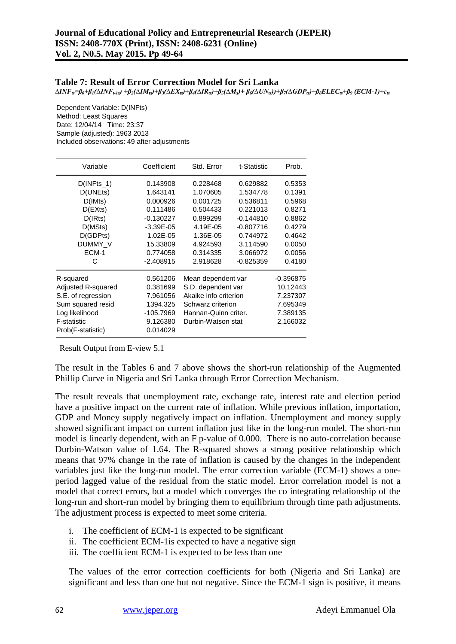#### **Table 7: Result of Error Correction Model for Sri Lanka**

 $\Delta INF_{ts} = \beta_0 + \beta_I (\Delta INF_{t\text{-}1s}) + \beta_2 (\Delta IM_{ts}) + \beta_3 (\Delta EX_{ts}) + \beta_4 (\Delta IR_{ts}) + \beta_5 (\Delta M_s) + \beta_6 (\Delta UN_{ts}) + \beta_7 (\Delta GDP_{ts}) + \beta_8 ELEC_{ts} + \beta_9\ (ECM\text{-}I) + \varepsilon_{ts}$ 

Dependent Variable: D(INFts) Method: Least Squares Date: 12/04/14 Time: 23:37 Sample (adjusted): 1963 2013 Included observations: 49 after adjustments

| Variable           | Coefficient   | Std. Error            | t-Statistic | Prob.       |
|--------------------|---------------|-----------------------|-------------|-------------|
| $D($ INFts_1)      | 0.143908      | 0.228468              | 0.629882    | 0.5353      |
| D(UNEts)           | 1.643141      | 1.070605              | 1.534778    | 0.1391      |
| D(IMts)            | 0.000926      | 0.001725              | 0.536811    | 0.5968      |
| D(EXts)            | 0.111486      | 0.504433              | 0.221013    | 0.8271      |
| D(IRts)            | -0.130227     | 0.899299              | $-0.144810$ | 0.8862      |
| D(MSts)            | $-3.39E - 05$ | 4.19E-05              | $-0.807716$ | 0.4279      |
| D(GDPts)           | 1.02E-05      | 1.36E-05              | 0.744972    | 0.4642      |
| DUMMY_V            | 15.33809      | 4.924593              | 3.114590    | 0.0050      |
| ECM-1              | 0.774058      | 0.314335              | 3.066972    | 0.0056      |
| C                  | $-2.408915$   | 2.918628              | $-0.825359$ | 0.4180      |
| R-squared          | 0.561206      | Mean dependent var    |             | $-0.396875$ |
| Adjusted R-squared | 0.381699      | S.D. dependent var    |             | 10.12443    |
| S.E. of regression | 7.961056      | Akaike info criterion |             | 7.237307    |
| Sum squared resid  | 1394.325      | Schwarz criterion     |             | 7.695349    |
| Log likelihood     | -105.7969     | Hannan-Quinn criter.  |             | 7.389135    |
| <b>F-statistic</b> | 9.126380      | Durbin-Watson stat    |             | 2.166032    |
| Prob(F-statistic)  | 0.014029      |                       |             |             |

Result Output from E-view 5.1

The result in the Tables 6 and 7 above shows the short-run relationship of the Augmented Phillip Curve in Nigeria and Sri Lanka through Error Correction Mechanism.

The result reveals that unemployment rate, exchange rate, interest rate and election period have a positive impact on the current rate of inflation. While previous inflation, importation, GDP and Money supply negatively impact on inflation. Unemployment and money supply showed significant impact on current inflation just like in the long-run model. The short-run model is linearly dependent, with an F p-value of 0.000. There is no auto-correlation because Durbin-Watson value of 1.64. The R-squared shows a strong positive relationship which means that 97% change in the rate of inflation is caused by the changes in the independent variables just like the long-run model. The error correction variable (ECM-1) shows a oneperiod lagged value of the residual from the static model. Error correlation model is not a model that correct errors, but a model which converges the co integrating relationship of the long-run and short-run model by bringing them to equilibrium through time path adjustments. The adjustment process is expected to meet some criteria.

- i. The coefficient of ECM-1 is expected to be significant
- ii. The coefficient ECM-1is expected to have a negative sign
- iii. The coefficient ECM-1 is expected to be less than one

The values of the error correction coefficients for both (Nigeria and Sri Lanka) are significant and less than one but not negative. Since the ECM-1 sign is positive, it means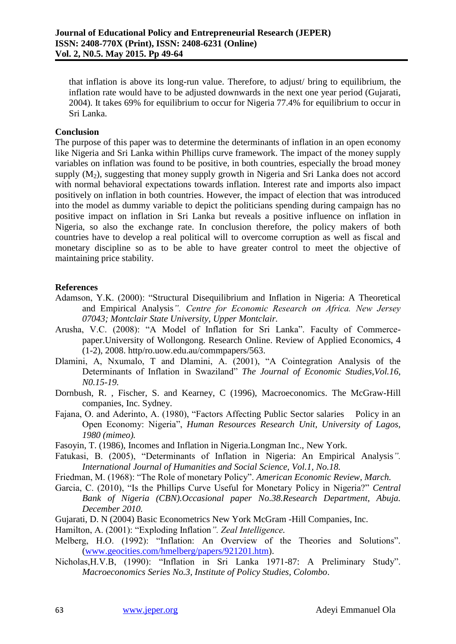that inflation is above its long-run value. Therefore, to adjust/ bring to equilibrium, the inflation rate would have to be adjusted downwards in the next one year period (Gujarati, 2004). It takes 69% for equilibrium to occur for Nigeria 77.4% for equilibrium to occur in Sri Lanka.

## **Conclusion**

The purpose of this paper was to determine the determinants of inflation in an open economy like Nigeria and Sri Lanka within Phillips curve framework. The impact of the money supply variables on inflation was found to be positive, in both countries, especially the broad money supply  $(M<sub>2</sub>)$ , suggesting that money supply growth in Nigeria and Sri Lanka does not accord with normal behavioral expectations towards inflation. Interest rate and imports also impact positively on inflation in both countries. However, the impact of election that was introduced into the model as dummy variable to depict the politicians spending during campaign has no positive impact on inflation in Sri Lanka but reveals a positive influence on inflation in Nigeria, so also the exchange rate. In conclusion therefore, the policy makers of both countries have to develop a real political will to overcome corruption as well as fiscal and monetary discipline so as to be able to have greater control to meet the objective of maintaining price stability.

## **References**

- Adamson, Y.K. (2000): "Structural Disequilibrium and Inflation in Nigeria: A Theoretical and Empirical Analysis*". Centre for Economic Research on Africa. New Jersey 07043; Montclair State University, Upper Montclair.*
- Arusha, V.C. (2008): "A Model of Inflation for Sri Lanka". Faculty of Commercepaper.University of Wollongong. Research Online. Review of Applied Economics, 4 (1-2), 2008. http/ro.uow.edu.au/commpapers/563.
- Dlamini, A, Nxumalo, T and Dlamini, A. (2001), "A Cointegration Analysis of the Determinants of Inflation in Swaziland" *The Journal of Economic Studies,Vol.16, N0.15-19.*
- Dornbush, R. , Fischer, S. and Kearney, C (1996), Macroeconomics. The McGraw-Hill companies, Inc. Sydney.
- Fajana, O. and Aderinto, A. (1980), "Factors Affecting Public Sector salaries Policy in an Open Economy: Nigeria", *Human Resources Research Unit, University of Lagos, 1980 (mimeo).*
- Fasoyin, T. (1986), Incomes and Inflation in Nigeria.Longman Inc., New York.
- Fatukasi, B. (2005), "Determinants of Inflation in Nigeria: An Empirical Analysis*". International Journal of Humanities and Social Science, Vol.1, No.18.*
- Friedman, M. (1968): "The Role of monetary Policy". *American Economic Review, March.*
- Garcia, C. (2010), "Is the Phillips Curve Useful for Monetary Policy in Nigeria?" *Central Bank of Nigeria (CBN).Occasional paper No.38.Research Department, Abuja. December 2010.*
- Gujarati, D. N (2004) Basic Econometrics New York McGram -Hill Companies, Inc.
- Hamilton, A. (2001): "Exploding Inflation*". Zeal Intelligence.*
- Melberg, H.O. (1992): "Inflation: An Overview of the Theories and Solutions". [\(www.geocities.com/hmelberg/papers/921201.htm\)](http://www.geocities.com/hmelberg/papers/921201.htm).
- Nicholas,H.V.B, (1990): "Inflation in Sri Lanka 1971-87: A Preliminary Study". *Macroeconomics Series No.3, Institute of Policy Studies, Colombo*.